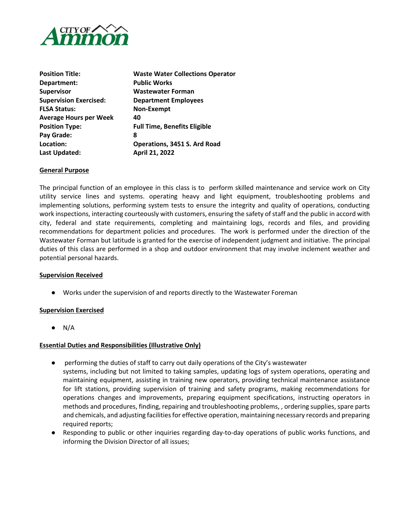

| <b>Position Title:</b>        | <b>Waste Water Collections Operator</b> |  |
|-------------------------------|-----------------------------------------|--|
| Department:                   | <b>Public Works</b>                     |  |
| <b>Supervisor</b>             | Wastewater Forman                       |  |
| <b>Supervision Exercised:</b> | <b>Department Employees</b>             |  |
| <b>FLSA Status:</b>           | Non-Exempt                              |  |
| <b>Average Hours per Week</b> | 40                                      |  |
| <b>Position Type:</b>         | <b>Full Time, Benefits Eligible</b>     |  |
| Pay Grade:                    | 8                                       |  |
| Location:                     | Operations, 3451 S. Ard Road            |  |
| Last Updated:                 | April 21, 2022                          |  |

# **General Purpose**

The principal function of an employee in this class is to perform skilled maintenance and service work on City utility service lines and systems. operating heavy and light equipment, troubleshooting problems and implementing solutions, performing system tests to ensure the integrity and quality of operations, conducting work inspections, interacting courteously with customers, ensuring the safety of staff and the public in accord with city, federal and state requirements, completing and maintaining logs, records and files, and providing recommendations for department policies and procedures. The work is performed under the direction of the Wastewater Forman but latitude is granted for the exercise of independent judgment and initiative. The principal duties of this class are performed in a shop and outdoor environment that may involve inclement weather and potential personal hazards.

## **Supervision Received**

● Works under the supervision of and reports directly to the Wastewater Foreman

# **Supervision Exercised**

 $\bullet$  N/A

## **Essential Duties and Responsibilities (Illustrative Only)**

- performing the duties of staff to carry out daily operations of the City's wastewater systems, including but not limited to taking samples, updating logs of system operations, operating and maintaining equipment, assisting in training new operators, providing technical maintenance assistance for lift stations, providing supervision of training and safety programs, making recommendations for operations changes and improvements, preparing equipment specifications, instructing operators in methods and procedures, finding, repairing and troubleshooting problems, , ordering supplies, spare parts and chemicals, and adjusting facilities for effective operation, maintaining necessary records and preparing required reports;
- Responding to public or other inquiries regarding day-to-day operations of public works functions, and informing the Division Director of all issues;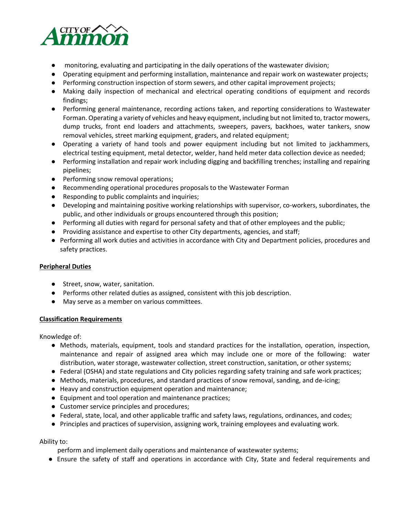

- monitoring, evaluating and participating in the daily operations of the wastewater division;
- Operating equipment and performing installation, maintenance and repair work on wastewater projects;
- Performing construction inspection of storm sewers, and other capital improvement projects;
- Making daily inspection of mechanical and electrical operating conditions of equipment and records findings;
- Performing general maintenance, recording actions taken, and reporting considerations to Wastewater Forman. Operating a variety of vehicles and heavy equipment, including but not limited to, tractor mowers, dump trucks, front end loaders and attachments, sweepers, pavers, backhoes, water tankers, snow removal vehicles, street marking equipment, graders, and related equipment;
- Operating a variety of hand tools and power equipment including but not limited to jackhammers, electrical testing equipment, metal detector, welder, hand held meter data collection device as needed;
- Performing installation and repair work including digging and backfilling trenches; installing and repairing pipelines;
- Performing snow removal operations;
- Recommending operational procedures proposals to the Wastewater Forman
- Responding to public complaints and inquiries;
- Developing and maintaining positive working relationships with supervisor, co-workers, subordinates, the public, and other individuals or groups encountered through this position;
- Performing all duties with regard for personal safety and that of other employees and the public;
- Providing assistance and expertise to other City departments, agencies, and staff;
- Performing all work duties and activities in accordance with City and Department policies, procedures and safety practices.

# **Peripheral Duties**

- Street, snow, water, sanitation.
- Performs other related duties as assigned, consistent with this job description.
- May serve as a member on various committees.

# **Classification Requirements**

Knowledge of:

- Methods, materials, equipment, tools and standard practices for the installation, operation, inspection, maintenance and repair of assigned area which may include one or more of the following: water distribution, water storage, wastewater collection, street construction, sanitation, or other systems;
- Federal (OSHA) and state regulations and City policies regarding safety training and safe work practices;
- Methods, materials, procedures, and standard practices of snow removal, sanding, and de-icing;
- Heavy and construction equipment operation and maintenance;
- Equipment and tool operation and maintenance practices;
- Customer service principles and procedures;
- Federal, state, local, and other applicable traffic and safety laws, regulations, ordinances, and codes;
- Principles and practices of supervision, assigning work, training employees and evaluating work.

# Ability to:

perform and implement daily operations and maintenance of wastewater systems;

● Ensure the safety of staff and operations in accordance with City, State and federal requirements and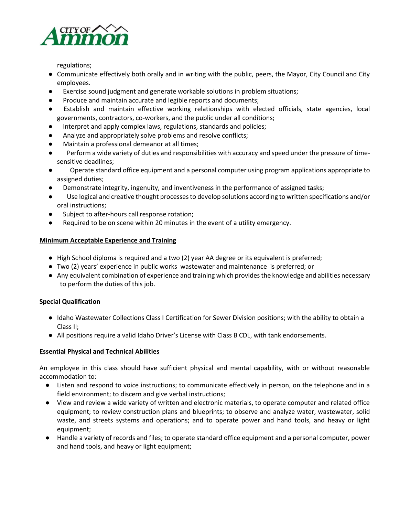

regulations;

- Communicate effectively both orally and in writing with the public, peers, the Mayor, City Council and City employees.
- Exercise sound judgment and generate workable solutions in problem situations;
- Produce and maintain accurate and legible reports and documents;
- Establish and maintain effective working relationships with elected officials, state agencies, local governments, contractors, co-workers, and the public under all conditions;
- Interpret and apply complex laws, regulations, standards and policies;
- Analyze and appropriately solve problems and resolve conflicts;
- Maintain a professional demeanor at all times;
- Perform a wide variety of duties and responsibilities with accuracy and speed under the pressure of timesensitive deadlines;
- Operate standard office equipment and a personal computer using program applications appropriate to assigned duties;
- Demonstrate integrity, ingenuity, and inventiveness in the performance of assigned tasks;
- Use logical and creative thought processes to develop solutions according to written specifications and/or oral instructions;
- Subject to after-hours call response rotation;
- Required to be on scene within 20 minutes in the event of a utility emergency.

# **Minimum Acceptable Experience and Training**

- High School diploma is required and a two (2) year AA degree or its equivalent is preferred;
- Two (2) years' experience in public works wastewater and maintenance is preferred; or
- Any equivalent combination of experience and training which provides the knowledge and abilities necessary to perform the duties of this job.

# **Special Qualification**

- Idaho Wastewater Collections Class I Certification for Sewer Division positions; with the ability to obtain a Class II;
- All positions require a valid Idaho Driver's License with Class B CDL, with tank endorsements.

# **Essential Physical and Technical Abilities**

An employee in this class should have sufficient physical and mental capability, with or without reasonable accommodation to:

- Listen and respond to voice instructions; to communicate effectively in person, on the telephone and in a field environment; to discern and give verbal instructions;
- View and review a wide variety of written and electronic materials, to operate computer and related office equipment; to review construction plans and blueprints; to observe and analyze water, wastewater, solid waste, and streets systems and operations; and to operate power and hand tools, and heavy or light equipment;
- Handle a variety of records and files; to operate standard office equipment and a personal computer, power and hand tools, and heavy or light equipment;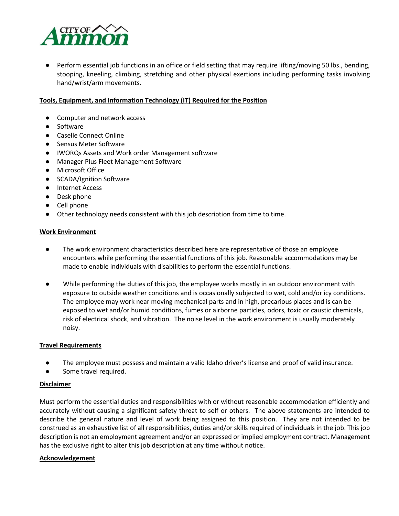

● Perform essential job functions in an office or field setting that may require lifting/moving 50 lbs., bending, stooping, kneeling, climbing, stretching and other physical exertions including performing tasks involving hand/wrist/arm movements.

# **Tools, Equipment, and Information Technology (IT) Required for the Position**

- Computer and network access
- Software
- Caselle Connect Online
- Sensus Meter Software
- IWORQs Assets and Work order Management software
- Manager Plus Fleet Management Software
- Microsoft Office
- SCADA/Ignition Software
- Internet Access
- Desk phone
- Cell phone
- Other technology needs consistent with this job description from time to time.

## **Work Environment**

- The work environment characteristics described here are representative of those an employee encounters while performing the essential functions of this job. Reasonable accommodations may be made to enable individuals with disabilities to perform the essential functions.
- While performing the duties of this job, the employee works mostly in an outdoor environment with exposure to outside weather conditions and is occasionally subjected to wet, cold and/or icy conditions. The employee may work near moving mechanical parts and in high, precarious places and is can be exposed to wet and/or humid conditions, fumes or airborne particles, odors, toxic or caustic chemicals, risk of electrical shock, and vibration. The noise level in the work environment is usually moderately noisy.

## **Travel Requirements**

- The employee must possess and maintain a valid Idaho driver's license and proof of valid insurance.
- Some travel required.

## **Disclaimer**

Must perform the essential duties and responsibilities with or without reasonable accommodation efficiently and accurately without causing a significant safety threat to self or others. The above statements are intended to describe the general nature and level of work being assigned to this position. They are not intended to be construed as an exhaustive list of all responsibilities, duties and/or skills required of individuals in the job. This job description is not an employment agreement and/or an expressed or implied employment contract. Management has the exclusive right to alter this job description at any time without notice.

## **Acknowledgement**